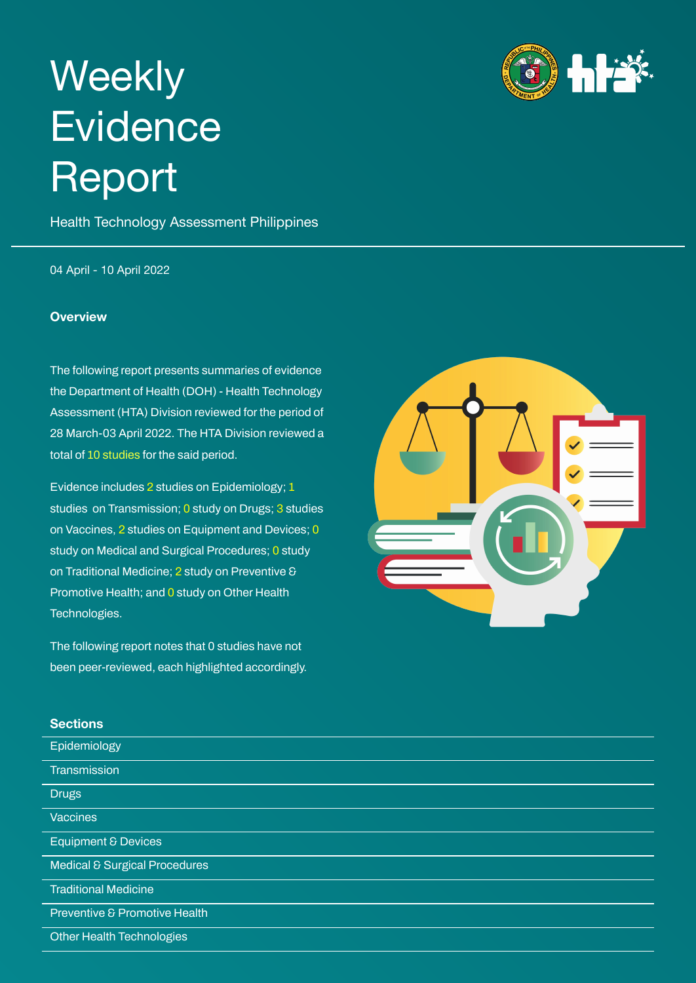# <span id="page-0-0"></span>**Weekly Evidence** Report

Health Technology Assessment Philippines

04 April - 10 April 2022

#### **Overview**

The following report presents summaries of evidence the Department of Health (DOH) - Health Technology Assessment (HTA) Division reviewed for the period of 28 March-03 April 2022. The HTA Division reviewed a total of 10 studies for the said period.

Evidence includes 2 studies on Epidemiology; 1 studies on Transmission; 0 study on Drugs; 3 studies on Vaccines, 2 studies on Equipment and Devices; 0 study on Medical and Surgical Procedures; 0 study on Traditional Medicine; 2 study on Preventive & Promotive Health; and 0 study on Other Health Technologies.

The following report notes that 0 studies have not been peer-reviewed, each highlighted accordingly.

# hŀż



#### **Sections**

| -------                        |  |
|--------------------------------|--|
| Epidemiology                   |  |
| Transmission                   |  |
| <b>Drugs</b>                   |  |
| <b>Vaccines</b>                |  |
| <b>Equipment &amp; Devices</b> |  |
| Medical & Surgical Procedures  |  |
| <b>Traditional Medicine</b>    |  |
| Preventive & Promotive Health  |  |
| Other Health Technologies      |  |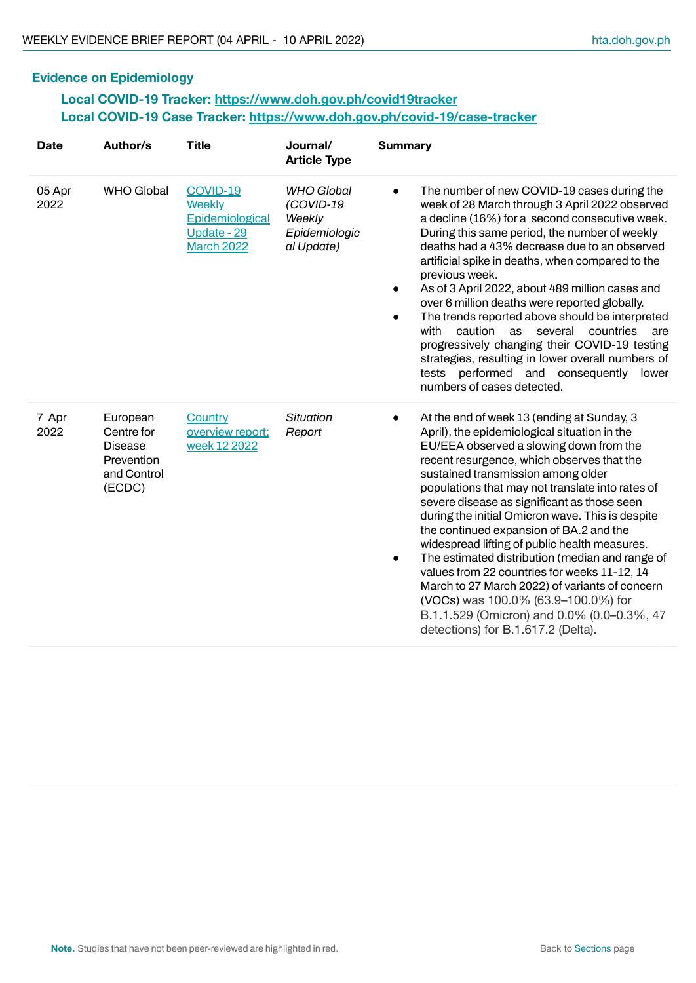### **Evidence on Epidemiology**

#### **Local COVID-19 Tracker: <https://www.doh.gov.ph/covid19tracker> Local COVID-19 Case Tracker: <https://www.doh.gov.ph/covid-19/case-tracker>**

| <b>Date</b>    | Author/s                                                                        | <b>Title</b>                                                              | Journal/<br><b>Article Type</b>                                         | <b>Summary</b>                                                                                                                                                                                                                                                                                                                                                                                                                                                                                                                                                                                                                                                                                                                                                            |
|----------------|---------------------------------------------------------------------------------|---------------------------------------------------------------------------|-------------------------------------------------------------------------|---------------------------------------------------------------------------------------------------------------------------------------------------------------------------------------------------------------------------------------------------------------------------------------------------------------------------------------------------------------------------------------------------------------------------------------------------------------------------------------------------------------------------------------------------------------------------------------------------------------------------------------------------------------------------------------------------------------------------------------------------------------------------|
| 05 Apr<br>2022 | <b>WHO Global</b>                                                               | COVID-19<br>Weekly<br>Epidemiological<br>Update - 29<br><b>March 2022</b> | <b>WHO Global</b><br>(COVID-19<br>Weekly<br>Epidemiologic<br>al Update) | The number of new COVID-19 cases during the<br>$\bullet$<br>week of 28 March through 3 April 2022 observed<br>a decline (16%) for a second consecutive week.<br>During this same period, the number of weekly<br>deaths had a 43% decrease due to an observed<br>artificial spike in deaths, when compared to the<br>previous week.<br>As of 3 April 2022, about 489 million cases and<br>over 6 million deaths were reported globally.<br>The trends reported above should be interpreted<br>$\bullet$<br>caution<br>with<br>as<br>several<br>countries<br>are<br>progressively changing their COVID-19 testing<br>strategies, resulting in lower overall numbers of<br>tests performed and consequently<br>lower<br>numbers of cases detected.                          |
| 7 Apr<br>2022  | European<br>Centre for<br><b>Disease</b><br>Prevention<br>and Control<br>(ECDC) | Country<br>overview report:<br>week 12 2022                               | <b>Situation</b><br>Report                                              | At the end of week 13 (ending at Sunday, 3<br>$\bullet$<br>April), the epidemiological situation in the<br>EU/EEA observed a slowing down from the<br>recent resurgence, which observes that the<br>sustained transmission among older<br>populations that may not translate into rates of<br>severe disease as significant as those seen<br>during the initial Omicron wave. This is despite<br>the continued expansion of BA.2 and the<br>widespread lifting of public health measures.<br>The estimated distribution (median and range of<br>values from 22 countries for weeks 11-12, 14<br>March to 27 March 2022) of variants of concern<br>(VOCs) was 100.0% (63.9-100.0%) for<br>B.1.1.529 (Omicron) and 0.0% (0.0-0.3%, 47<br>detections) for B.1.617.2 (Delta). |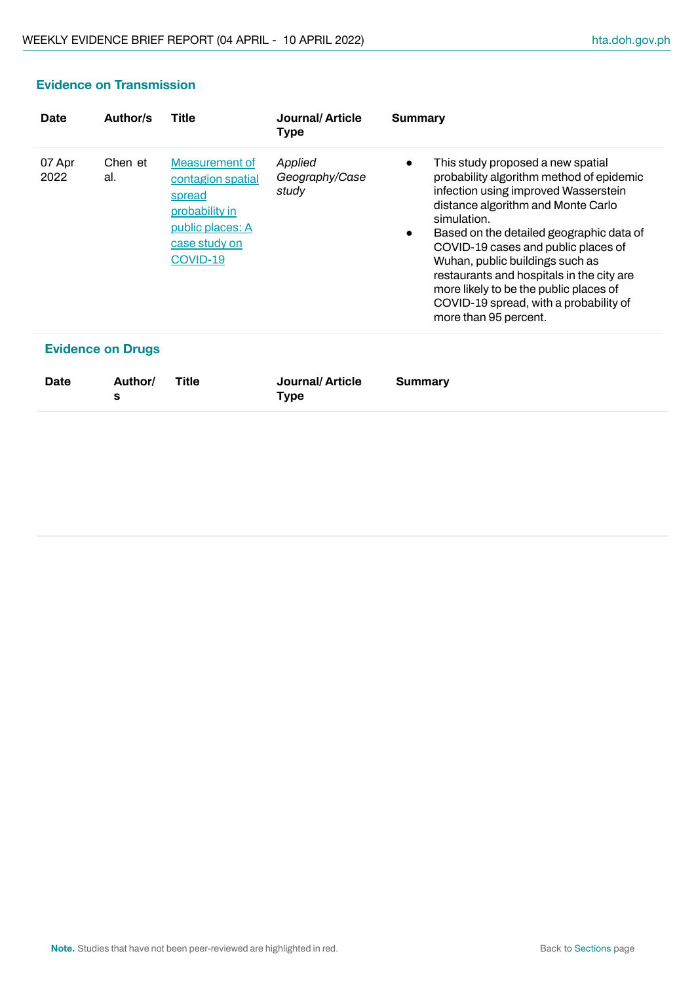# **Evidence on Transmission**

| Date           | Author/s                 | Title                                                                                                                   | Journal/Article<br>Type            | Summary                                                                                                                                                                                                                                                                                                                                                                                                                                                                              |
|----------------|--------------------------|-------------------------------------------------------------------------------------------------------------------------|------------------------------------|--------------------------------------------------------------------------------------------------------------------------------------------------------------------------------------------------------------------------------------------------------------------------------------------------------------------------------------------------------------------------------------------------------------------------------------------------------------------------------------|
| 07 Apr<br>2022 | Chen et<br>al.           | Measurement of<br>contagion spatial<br>spread<br>probability in<br><u>public places: A</u><br>case study on<br>COVID-19 | Applied<br>Geography/Case<br>study | This study proposed a new spatial<br>$\bullet$<br>probability algorithm method of epidemic<br>infection using improved Wasserstein<br>distance algorithm and Monte Carlo<br>simulation.<br>Based on the detailed geographic data of<br>$\bullet$<br>COVID-19 cases and public places of<br>Wuhan, public buildings such as<br>restaurants and hospitals in the city are<br>more likely to be the public places of<br>COVID-19 spread, with a probability of<br>more than 95 percent. |
|                | <b>Evidence on Drugs</b> |                                                                                                                         |                                    |                                                                                                                                                                                                                                                                                                                                                                                                                                                                                      |
| Date           | Author/<br>s             | <b>Title</b>                                                                                                            | Journal/Article<br>Type            | Summary                                                                                                                                                                                                                                                                                                                                                                                                                                                                              |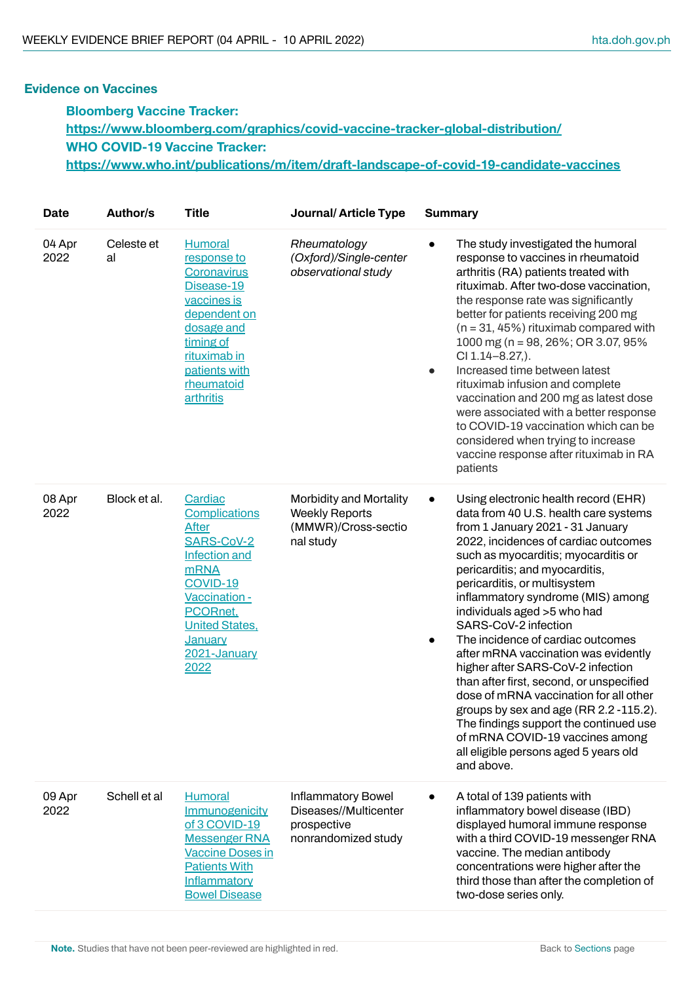#### **Evidence on Vaccines**

**Bloomberg Vaccine Tracker: <https://www.bloomberg.com/graphics/covid-vaccine-tracker-global-distribution/> WHO COVID-19 Vaccine Tracker: <https://www.who.int/publications/m/item/draft-landscape-of-covid-19-candidate-vaccines>**

| <b>Date</b>    | <b>Author/s</b>  | <b>Title</b>                                                                                                                                                                                              | Journal/Article Type                                                                 |                        | <b>Summary</b>                                                                                                                                                                                                                                                                                                                                                                                                                                                                                                                                                                                                                                                                                                                                       |
|----------------|------------------|-----------------------------------------------------------------------------------------------------------------------------------------------------------------------------------------------------------|--------------------------------------------------------------------------------------|------------------------|------------------------------------------------------------------------------------------------------------------------------------------------------------------------------------------------------------------------------------------------------------------------------------------------------------------------------------------------------------------------------------------------------------------------------------------------------------------------------------------------------------------------------------------------------------------------------------------------------------------------------------------------------------------------------------------------------------------------------------------------------|
| 04 Apr<br>2022 | Celeste et<br>al | <b>Humoral</b><br>response to<br>Coronavirus<br>Disease-19<br>vaccines is<br>dependent on<br>dosage and<br>timing of<br>rituximab in<br>patients with<br>rheumatoid<br>arthritis                          | Rheumatology<br>(Oxford)/Single-center<br>observational study                        | $\bullet$<br>$\bullet$ | The study investigated the humoral<br>response to vaccines in rheumatoid<br>arthritis (RA) patients treated with<br>rituximab. After two-dose vaccination,<br>the response rate was significantly<br>better for patients receiving 200 mg<br>$(n = 31, 45\%)$ rituximab compared with<br>1000 mg (n = 98, 26%; OR 3.07, 95%<br>CI 1.14-8.27,).<br>Increased time between latest<br>rituximab infusion and complete<br>vaccination and 200 mg as latest dose<br>were associated with a better response<br>to COVID-19 vaccination which can be<br>considered when trying to increase<br>vaccine response after rituximab in RA<br>patients                                                                                                            |
| 08 Apr<br>2022 | Block et al.     | Cardiac<br>Complications<br><b>After</b><br>SARS-CoV-2<br><b>Infection and</b><br><b>mRNA</b><br>COVID-19<br>Vaccination -<br>PCORnet,<br><b>United States,</b><br><b>January</b><br>2021-January<br>2022 | Morbidity and Mortality<br><b>Weekly Reports</b><br>(MMWR)/Cross-sectio<br>nal study | $\bullet$<br>$\bullet$ | Using electronic health record (EHR)<br>data from 40 U.S. health care systems<br>from 1 January 2021 - 31 January<br>2022, incidences of cardiac outcomes<br>such as myocarditis; myocarditis or<br>pericarditis; and myocarditis,<br>pericarditis, or multisystem<br>inflammatory syndrome (MIS) among<br>individuals aged >5 who had<br>SARS-CoV-2 infection<br>The incidence of cardiac outcomes<br>after mRNA vaccination was evidently<br>higher after SARS-CoV-2 infection<br>than after first, second, or unspecified<br>dose of mRNA vaccination for all other<br>groups by sex and age (RR 2.2 -115.2).<br>The findings support the continued use<br>of mRNA COVID-19 vaccines among<br>all eligible persons aged 5 years old<br>and above. |
| 09 Apr<br>2022 | Schell et al     | <b>Humoral</b><br>Immunogenicity<br>of 3 COVID-19<br><b>Messenger RNA</b><br><b>Vaccine Doses in</b><br><b>Patients With</b><br><b>Inflammatory</b><br><b>Bowel Disease</b>                               | Inflammatory Bowel<br>Diseases//Multicenter<br>prospective<br>nonrandomized study    |                        | A total of 139 patients with<br>inflammatory bowel disease (IBD)<br>displayed humoral immune response<br>with a third COVID-19 messenger RNA<br>vaccine. The median antibody<br>concentrations were higher after the<br>third those than after the completion of<br>two-dose series only.                                                                                                                                                                                                                                                                                                                                                                                                                                                            |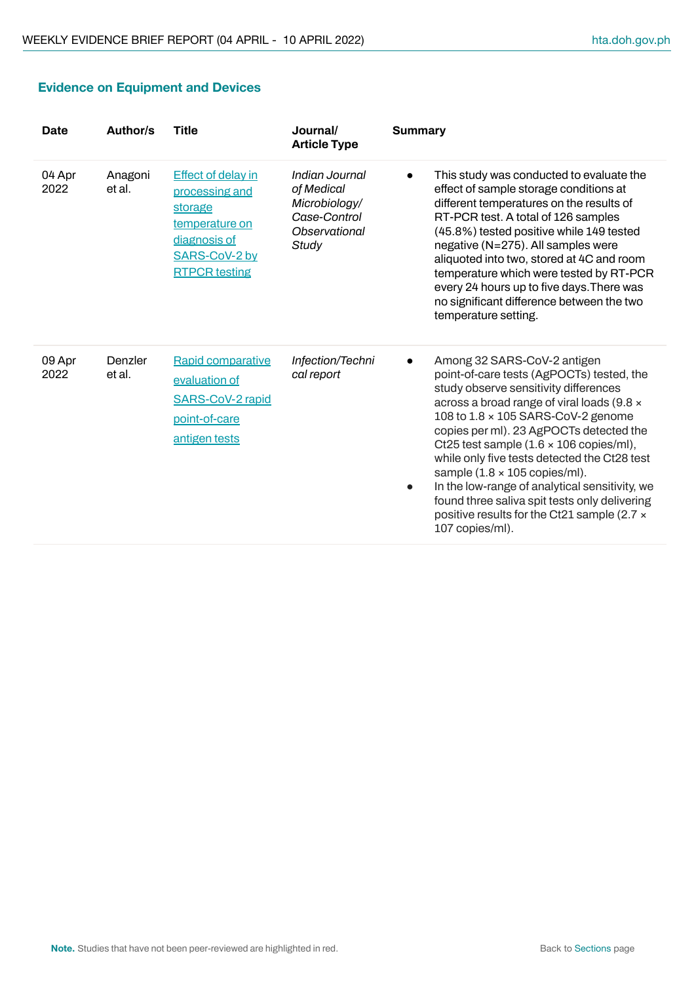|  | <b>Evidence on Equipment and Devices</b> |  |
|--|------------------------------------------|--|
|--|------------------------------------------|--|

| Date           | Author/s          | <b>Title</b>                                                                                                                      | Journal/<br><b>Article Type</b>                                                         | <b>Summary</b>                                                                                                                                                                                                                                                                                                                                                                                                                                                                                                                                                               |
|----------------|-------------------|-----------------------------------------------------------------------------------------------------------------------------------|-----------------------------------------------------------------------------------------|------------------------------------------------------------------------------------------------------------------------------------------------------------------------------------------------------------------------------------------------------------------------------------------------------------------------------------------------------------------------------------------------------------------------------------------------------------------------------------------------------------------------------------------------------------------------------|
| 04 Apr<br>2022 | Anagoni<br>et al. | <b>Effect of delay in</b><br>processing and<br>storage<br>temperature on<br>diagnosis of<br>SARS-CoV-2 by<br><b>RTPCR</b> testing | Indian Journal<br>of Medical<br>Microbiology/<br>Case-Control<br>Observational<br>Study | This study was conducted to evaluate the<br>effect of sample storage conditions at<br>different temperatures on the results of<br>RT-PCR test. A total of 126 samples<br>(45.8%) tested positive while 149 tested<br>negative (N=275). All samples were<br>aliquoted into two, stored at 4C and room<br>temperature which were tested by RT-PCR<br>every 24 hours up to five days. There was<br>no significant difference between the two<br>temperature setting.                                                                                                            |
| 09 Apr<br>2022 | Denzler<br>et al. | Rapid comparative<br>evaluation of<br><b>SARS-CoV-2 rapid</b><br>point-of-care<br>antigen tests                                   | Infection/Techni<br>cal report                                                          | Among 32 SARS-CoV-2 antigen<br>point-of-care tests (AgPOCTs) tested, the<br>study observe sensitivity differences<br>across a broad range of viral loads (9.8 x<br>108 to 1.8 x 105 SARS-CoV-2 genome<br>copies per ml). 23 AgPOCTs detected the<br>Ct25 test sample $(1.6 \times 106$ copies/ml),<br>while only five tests detected the Ct28 test<br>sample $(1.8 \times 105$ copies/ml).<br>In the low-range of analytical sensitivity, we<br>$\bullet$<br>found three saliva spit tests only delivering<br>positive results for the Ct21 sample (2.7 x<br>107 copies/ml). |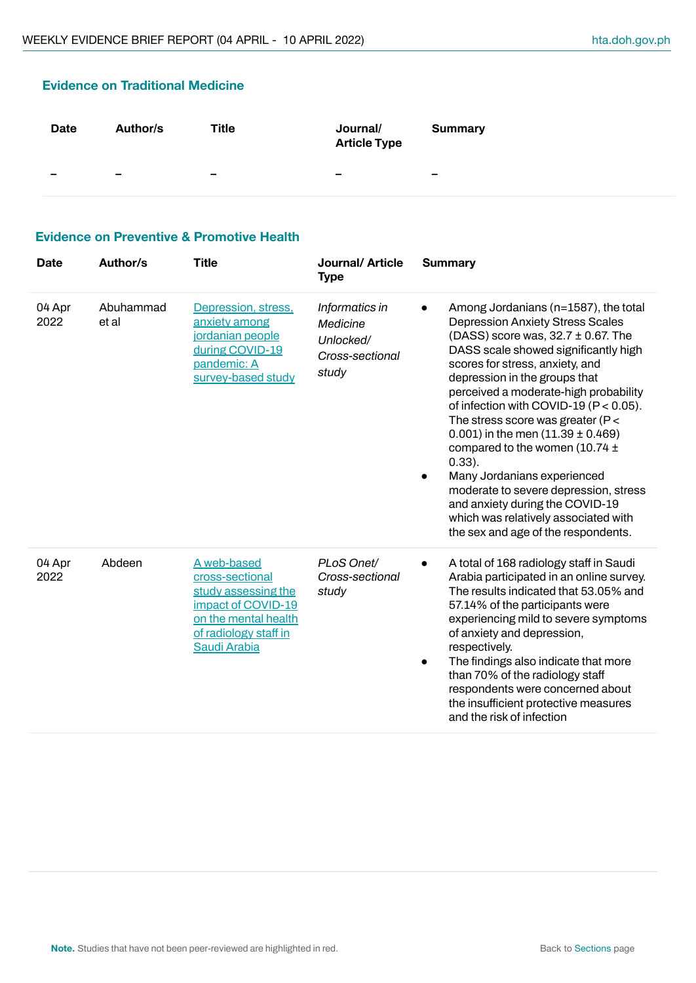# **Evidence on Traditional Medicine Date Author/s Title Journal/ Article Type Summary – – – – –**

#### **Evidence on Preventive & Promotive Health**

| <b>Date</b>    | Author/s           | <b>Title</b>                                                                                                                                 | Journal/ Article<br><b>Type</b>                                     | <b>Summary</b>                                                                                                                                                                                                                                                                                                                                                                                                                                                                                                                                                                                                                                              |
|----------------|--------------------|----------------------------------------------------------------------------------------------------------------------------------------------|---------------------------------------------------------------------|-------------------------------------------------------------------------------------------------------------------------------------------------------------------------------------------------------------------------------------------------------------------------------------------------------------------------------------------------------------------------------------------------------------------------------------------------------------------------------------------------------------------------------------------------------------------------------------------------------------------------------------------------------------|
| 04 Apr<br>2022 | Abuhammad<br>et al | Depression, stress,<br>anxiety among<br>jordanian people<br>during COVID-19<br>pandemic: A<br>survey-based study                             | Informatics in<br>Medicine<br>Unlocked/<br>Cross-sectional<br>study | Among Jordanians (n=1587), the total<br><b>Depression Anxiety Stress Scales</b><br>(DASS) score was, $32.7 \pm 0.67$ . The<br>DASS scale showed significantly high<br>scores for stress, anxiety, and<br>depression in the groups that<br>perceived a moderate-high probability<br>of infection with COVID-19 ( $P < 0.05$ ).<br>The stress score was greater ( $P <$<br>0.001) in the men $(11.39 \pm 0.469)$<br>compared to the women $(10.74 \pm$<br>$0.33$ ).<br>Many Jordanians experienced<br>moderate to severe depression, stress<br>and anxiety during the COVID-19<br>which was relatively associated with<br>the sex and age of the respondents. |
| 04 Apr<br>2022 | Abdeen             | A web-based<br>cross-sectional<br>study assessing the<br>impact of COVID-19<br>on the mental health<br>of radiology staff in<br>Saudi Arabia | PLoS Onet/<br>Cross-sectional<br>study                              | A total of 168 radiology staff in Saudi<br>Arabia participated in an online survey.<br>The results indicated that 53.05% and<br>57.14% of the participants were<br>experiencing mild to severe symptoms<br>of anxiety and depression,<br>respectively.<br>The findings also indicate that more<br>than 70% of the radiology staff<br>respondents were concerned about<br>the insufficient protective measures<br>and the risk of infection                                                                                                                                                                                                                  |